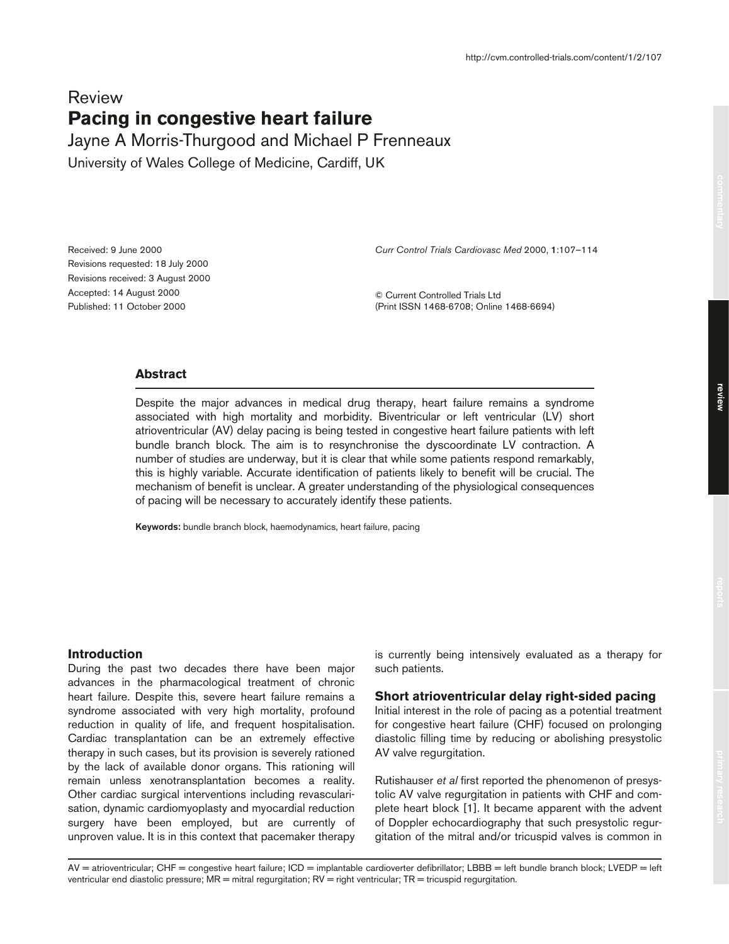# Review **Pacing in congestive heart failure**

Jayne A Morris-Thurgood and Michael P Frenneaux University of Wales College of Medicine, Cardiff, UK

Received: 9 June 2000 Revisions requested: 18 July 2000 Revisions received: 3 August 2000 Accepted: 14 August 2000 Published: 11 October 2000

*Curr Control Trials Cardiovasc Med* 2000, **1**:107–114

http://cvm.controlled-trials.com/content/1/2/107

© Current Controlled Trials Ltd (Print ISSN 1468-6708; Online 1468-6694)

# **Abstract**

Despite the major advances in medical drug therapy, heart failure remains a syndrome associated with high mortality and morbidity. Biventricular or left ventricular (LV) short atrioventricular (AV) delay pacing is being tested in congestive heart failure patients with left bundle branch block. The aim is to resynchronise the dyscoordinate LV contraction. A number of studies are underway, but it is clear that while some patients respond remarkably, this is highly variable. Accurate identification of patients likely to benefit will be crucial. The mechanism of benefit is unclear. A greater understanding of the physiological consequences of pacing will be necessary to accurately identify these patients.

**Keywords:** bundle branch block, haemodynamics, heart failure, pacing

# **Introduction**

During the past two decades there have been major advances in the pharmacological treatment of chronic heart failure. Despite this, severe heart failure remains a syndrome associated with very high mortality, profound reduction in quality of life, and frequent hospitalisation. Cardiac transplantation can be an extremely effective therapy in such cases, but its provision is severely rationed by the lack of available donor organs. This rationing will remain unless xenotransplantation becomes a reality. Other cardiac surgical interventions including revascularisation, dynamic cardiomyoplasty and myocardial reduction surgery have been employed, but are currently of unproven value. It is in this context that pacemaker therapy

is currently being intensively evaluated as a therapy for such patients.

# **Short atrioventricular delay right-sided pacing**

Initial interest in the role of pacing as a potential treatment for congestive heart failure (CHF) focused on prolonging diastolic filling time by reducing or abolishing presystolic AV valve regurgitation.

Rutishauser *et al* first reported the phenomenon of presystolic AV valve regurgitation in patients with CHF and complete heart block [1]. It became apparent with the advent of Doppler echocardiography that such presystolic regurgitation of the mitral and/or tricuspid valves is common in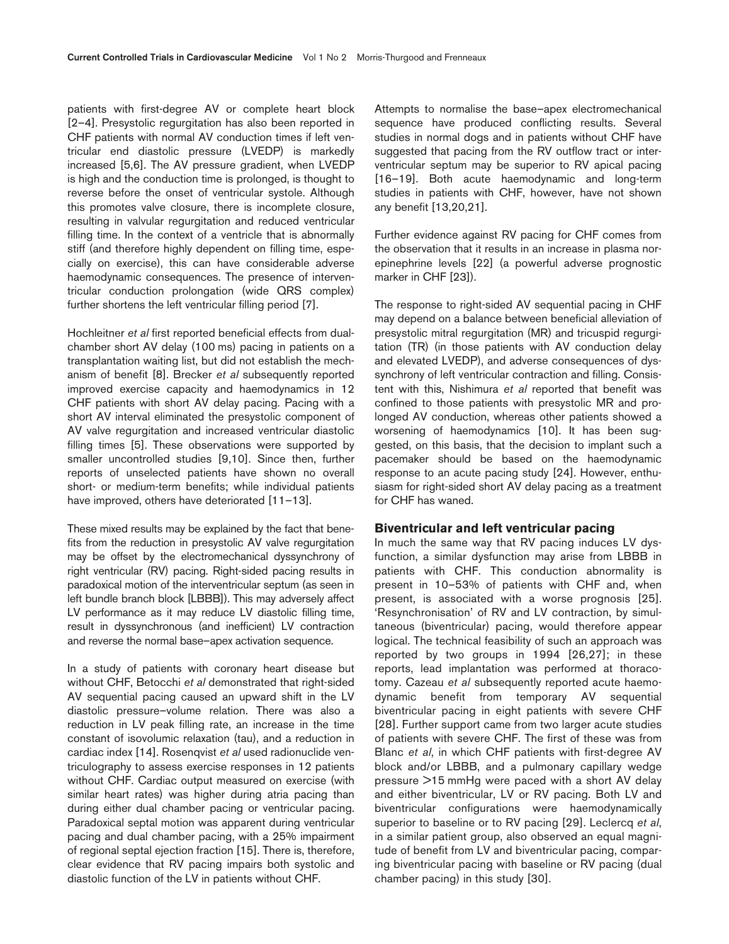patients with first-degree AV or complete heart block [2–4]. Presystolic regurgitation has also been reported in CHF patients with normal AV conduction times if left ventricular end diastolic pressure (LVEDP) is markedly increased [5,6]. The AV pressure gradient, when LVEDP is high and the conduction time is prolonged, is thought to reverse before the onset of ventricular systole. Although this promotes valve closure, there is incomplete closure, resulting in valvular regurgitation and reduced ventricular filling time. In the context of a ventricle that is abnormally stiff (and therefore highly dependent on filling time, especially on exercise), this can have considerable adverse haemodynamic consequences. The presence of interventricular conduction prolongation (wide QRS complex) further shortens the left ventricular filling period [7].

Hochleitner *et al* first reported beneficial effects from dualchamber short AV delay (100 ms) pacing in patients on a transplantation waiting list, but did not establish the mechanism of benefit [8]. Brecker *et al* subsequently reported improved exercise capacity and haemodynamics in 12 CHF patients with short AV delay pacing. Pacing with a short AV interval eliminated the presystolic component of AV valve regurgitation and increased ventricular diastolic filling times [5]. These observations were supported by smaller uncontrolled studies [9,10]. Since then, further reports of unselected patients have shown no overall short- or medium-term benefits; while individual patients have improved, others have deteriorated [11–13].

These mixed results may be explained by the fact that benefits from the reduction in presystolic AV valve regurgitation may be offset by the electromechanical dyssynchrony of right ventricular (RV) pacing. Right-sided pacing results in paradoxical motion of the interventricular septum (as seen in left bundle branch block [LBBB]). This may adversely affect LV performance as it may reduce LV diastolic filling time, result in dyssynchronous (and inefficient) LV contraction and reverse the normal base–apex activation sequence.

In a study of patients with coronary heart disease but without CHF, Betocchi *et al* demonstrated that right-sided AV sequential pacing caused an upward shift in the LV diastolic pressure–volume relation. There was also a reduction in LV peak filling rate, an increase in the time constant of isovolumic relaxation (tau), and a reduction in cardiac index [14]. Rosenqvist *et al* used radionuclide ventriculography to assess exercise responses in 12 patients without CHF. Cardiac output measured on exercise (with similar heart rates) was higher during atria pacing than during either dual chamber pacing or ventricular pacing. Paradoxical septal motion was apparent during ventricular pacing and dual chamber pacing, with a 25% impairment of regional septal ejection fraction [15]. There is, therefore, clear evidence that RV pacing impairs both systolic and diastolic function of the LV in patients without CHF.

Attempts to normalise the base–apex electromechanical sequence have produced conflicting results. Several studies in normal dogs and in patients without CHF have suggested that pacing from the RV outflow tract or interventricular septum may be superior to RV apical pacing [16–19]. Both acute haemodynamic and long-term studies in patients with CHF, however, have not shown any benefit [13,20,21].

Further evidence against RV pacing for CHF comes from the observation that it results in an increase in plasma norepinephrine levels [22] (a powerful adverse prognostic marker in CHF [23]).

The response to right-sided AV sequential pacing in CHF may depend on a balance between beneficial alleviation of presystolic mitral regurgitation (MR) and tricuspid regurgitation (TR) (in those patients with AV conduction delay and elevated LVEDP), and adverse consequences of dyssynchrony of left ventricular contraction and filling. Consistent with this, Nishimura *et al* reported that benefit was confined to those patients with presystolic MR and prolonged AV conduction, whereas other patients showed a worsening of haemodynamics [10]. It has been suggested, on this basis, that the decision to implant such a pacemaker should be based on the haemodynamic response to an acute pacing study [24]. However, enthusiasm for right-sided short AV delay pacing as a treatment for CHF has waned.

#### **Biventricular and left ventricular pacing**

In much the same way that RV pacing induces LV dysfunction, a similar dysfunction may arise from LBBB in patients with CHF. This conduction abnormality is present in 10–53% of patients with CHF and, when present, is associated with a worse prognosis [25]. 'Resynchronisation' of RV and LV contraction, by simultaneous (biventricular) pacing, would therefore appear logical. The technical feasibility of such an approach was reported by two groups in 1994 [26,27]; in these reports, lead implantation was performed at thoracotomy. Cazeau *et al* subsequently reported acute haemodynamic benefit from temporary AV sequential biventricular pacing in eight patients with severe CHF [28]. Further support came from two larger acute studies of patients with severe CHF. The first of these was from Blanc *et al*, in which CHF patients with first-degree AV block and/or LBBB, and a pulmonary capillary wedge pressure >15 mmHg were paced with a short AV delay and either biventricular, LV or RV pacing. Both LV and biventricular configurations were haemodynamically superior to baseline or to RV pacing [29]. Leclercq *et al*, in a similar patient group, also observed an equal magnitude of benefit from LV and biventricular pacing, comparing biventricular pacing with baseline or RV pacing (dual chamber pacing) in this study [30].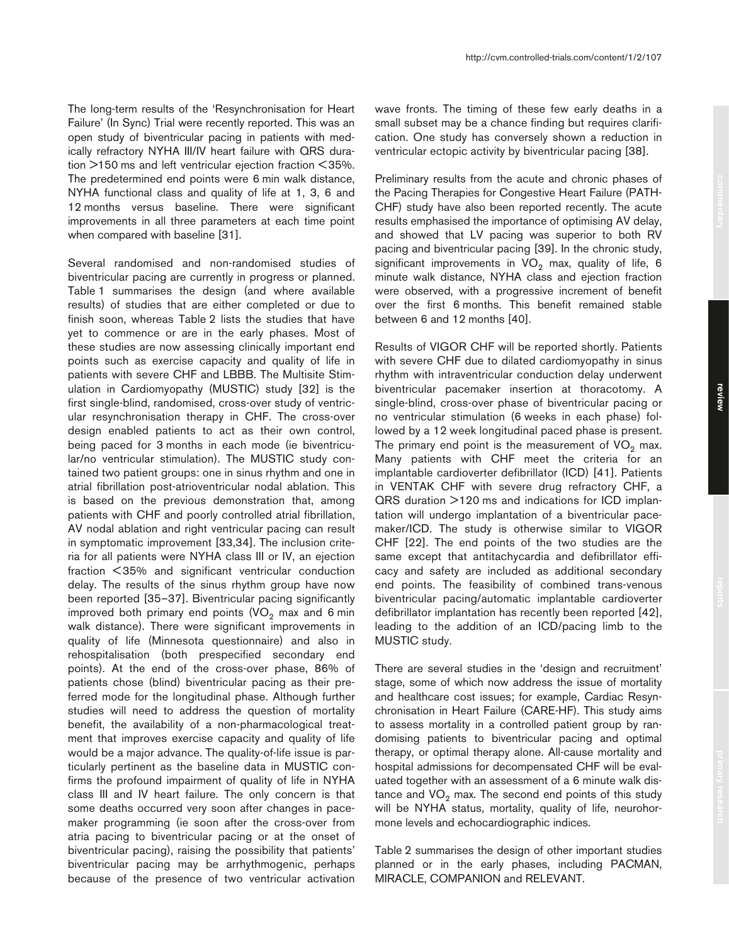The long-term results of the 'Resynchronisation for Heart Failure' (In Sync) Trial were recently reported. This was an open study of biventricular pacing in patients with medically refractory NYHA III/IV heart failure with QRS duration >150 ms and left ventricular ejection fraction < 35%. The predetermined end points were 6 min walk distance, NYHA functional class and quality of life at 1, 3, 6 and 12 months versus baseline. There were significant improvements in all three parameters at each time point when compared with baseline [31].

Several randomised and non-randomised studies of biventricular pacing are currently in progress or planned. Table 1 summarises the design (and where available results) of studies that are either completed or due to finish soon, whereas Table 2 lists the studies that have yet to commence or are in the early phases. Most of these studies are now assessing clinically important end points such as exercise capacity and quality of life in patients with severe CHF and LBBB. The Multisite Stimulation in Cardiomyopathy (MUSTIC) study [32] is the first single-blind, randomised, cross-over study of ventricular resynchronisation therapy in CHF. The cross-over design enabled patients to act as their own control, being paced for 3 months in each mode (ie biventricular/no ventricular stimulation). The MUSTIC study contained two patient groups: one in sinus rhythm and one in atrial fibrillation post-atrioventricular nodal ablation. This is based on the previous demonstration that, among patients with CHF and poorly controlled atrial fibrillation, AV nodal ablation and right ventricular pacing can result in symptomatic improvement [33,34]. The inclusion criteria for all patients were NYHA class III or IV, an ejection fraction < 35% and significant ventricular conduction delay. The results of the sinus rhythm group have now been reported [35–37]. Biventricular pacing significantly improved both primary end points  $(VO<sub>2</sub>)$  max and 6 min walk distance). There were significant improvements in quality of life (Minnesota questionnaire) and also in rehospitalisation (both prespecified secondary end points). At the end of the cross-over phase, 86% of patients chose (blind) biventricular pacing as their preferred mode for the longitudinal phase. Although further studies will need to address the question of mortality benefit, the availability of a non-pharmacological treatment that improves exercise capacity and quality of life would be a major advance. The quality-of-life issue is particularly pertinent as the baseline data in MUSTIC confirms the profound impairment of quality of life in NYHA class III and IV heart failure. The only concern is that some deaths occurred very soon after changes in pacemaker programming (ie soon after the cross-over from atria pacing to biventricular pacing or at the onset of biventricular pacing), raising the possibility that patients' biventricular pacing may be arrhythmogenic, perhaps because of the presence of two ventricular activation

wave fronts. The timing of these few early deaths in a small subset may be a chance finding but requires clarification. One study has conversely shown a reduction in ventricular ectopic activity by biventricular pacing [38].

Preliminary results from the acute and chronic phases of the Pacing Therapies for Congestive Heart Failure (PATH-CHF) study have also been reported recently. The acute results emphasised the importance of optimising AV delay, and showed that LV pacing was superior to both RV pacing and biventricular pacing [39]. In the chronic study, significant improvements in  $VO<sub>2</sub>$  max, quality of life, 6 minute walk distance, NYHA class and ejection fraction were observed, with a progressive increment of benefit over the first 6 months. This benefit remained stable between 6 and 12 months [40].

Results of VIGOR CHF will be reported shortly. Patients with severe CHF due to dilated cardiomyopathy in sinus rhythm with intraventricular conduction delay underwent biventricular pacemaker insertion at thoracotomy. A single-blind, cross-over phase of biventricular pacing or no ventricular stimulation (6 weeks in each phase) followed by a 12 week longitudinal paced phase is present. The primary end point is the measurement of  $VO<sub>2</sub>$  max. Many patients with CHF meet the criteria for an implantable cardioverter defibrillator (ICD) [41]. Patients in VENTAK CHF with severe drug refractory CHF, a QRS duration >120 ms and indications for ICD implantation will undergo implantation of a biventricular pacemaker/ICD. The study is otherwise similar to VIGOR CHF [22]. The end points of the two studies are the same except that antitachycardia and defibrillator efficacy and safety are included as additional secondary end points. The feasibility of combined trans-venous biventricular pacing/automatic implantable cardioverter defibrillator implantation has recently been reported [42], leading to the addition of an ICD/pacing limb to the MUSTIC study.

There are several studies in the 'design and recruitment' stage, some of which now address the issue of mortality and healthcare cost issues; for example, Cardiac Resynchronisation in Heart Failure (CARE-HF). This study aims to assess mortality in a controlled patient group by randomising patients to biventricular pacing and optimal therapy, or optimal therapy alone. All-cause mortality and hospital admissions for decompensated CHF will be evaluated together with an assessment of a 6 minute walk distance and  $VO<sub>2</sub>$  max. The second end points of this study will be NYHA status, mortality, quality of life, neurohormone levels and echocardiographic indices.

Table 2 summarises the design of other important studies planned or in the early phases, including PACMAN, MIRACLE, COMPANION and RELEVANT.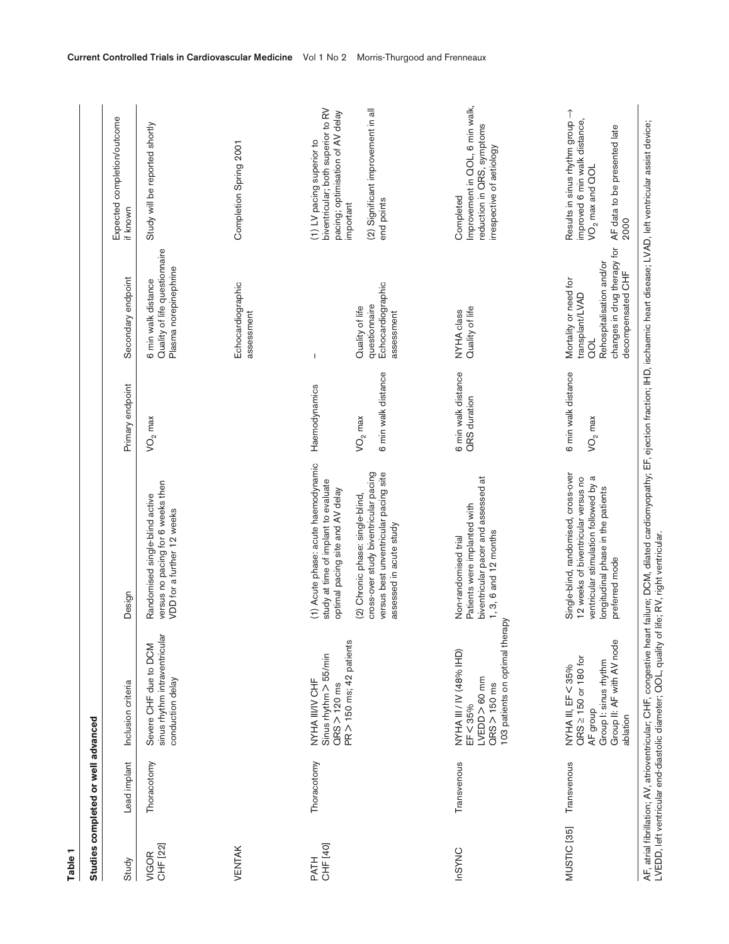| α |
|---|
|   |
|   |
|   |

| ı                      |
|------------------------|
| l                      |
|                        |
| <b>Service Service</b> |
| ı<br>ı                 |
| l<br>i                 |
| ı<br>٠<br>ı<br>í       |
|                        |
| ı<br>ı                 |
|                        |
| ı<br>í                 |
| í                      |
| ı                      |
|                        |
|                        |
|                        |
| ı                      |
|                        |
|                        |
|                        |
|                        |
|                        |
| ī<br>í                 |
|                        |
|                        |
|                        |

| Table <sub>1</sub>       |                                    |                                                                                                                              |                                                                                                                                                                                                                                                                  |                                                   |                                                                                                                                 |                                                                                                                                                                      |
|--------------------------|------------------------------------|------------------------------------------------------------------------------------------------------------------------------|------------------------------------------------------------------------------------------------------------------------------------------------------------------------------------------------------------------------------------------------------------------|---------------------------------------------------|---------------------------------------------------------------------------------------------------------------------------------|----------------------------------------------------------------------------------------------------------------------------------------------------------------------|
|                          | Studies completed or well advanced |                                                                                                                              |                                                                                                                                                                                                                                                                  |                                                   |                                                                                                                                 |                                                                                                                                                                      |
| Study                    | Lead implant                       | Inclusion criteria                                                                                                           | Design                                                                                                                                                                                                                                                           | Primary endpoint                                  | Secondary endpoint                                                                                                              | Expected completion/outcome<br>if known                                                                                                                              |
| CHF [22]<br><b>VIGOR</b> | Thoracotomy                        | sinus rhythm intraventricular<br>Severe CHF due to DCM<br>conduction delay                                                   | versus no pacing for 6 weeks then<br>Randomised single-blind active<br>VDD for a further 12 weeks                                                                                                                                                                | $VO2$ max                                         | Quality of life questionnaire<br>Plasma norepinephrine<br>6 min walk distance                                                   | Study will be reported shortly                                                                                                                                       |
| VENTAK                   |                                    |                                                                                                                              |                                                                                                                                                                                                                                                                  |                                                   | Echocardiographic<br>assessment                                                                                                 | Completion Spring 2001                                                                                                                                               |
| <b>CHF [40]</b><br>PATH  | Thoracotomy                        | PR > 150 ms; 42 patients<br>Sinus rhythm $>$ 55/min<br>NYHA III/IV CHF<br>$QRS > 120$ ms                                     | (1) Acute phase: acute haemodynamic<br>cross-over study biventricular pacing<br>versus best unventricular pacing site<br>study at time of implant to evaluate<br>optimal pacing site and AV delay<br>(2) Chronic phase: single-blind,<br>assessed in acute study | 6 min walk distance<br>Haemodynamics<br>$VO2$ max | Echocardiographic<br>questionnaire<br>Quality of life<br>assessment<br>$\mathbf{I}$                                             | biventricular; both superior to RV<br>(2) Significant improvement in all<br>pacing; optimisation of AV delay<br>(1) LV pacing superior to<br>end points<br>important |
| InSYNC                   | Transvenous                        | 103 patients on optimal therapy<br>NYHA III / IV (48% IHD)<br>LVEDD $> 60$ mm<br>QRS $> 150$ ms<br>EF < 35%                  | biventricular pacer and assessed at<br>Patients were implanted with<br>1, 3, 6 and 12 months<br>Non-randomised trial                                                                                                                                             | 6 min walk distance<br><b>QRS</b> duration        | Quality of life<br>NYHA class                                                                                                   | Improvement in QOL, 6 min walk,<br>reduction in QRS, symptoms<br>irrespective of aetiology<br>Completed                                                              |
| MUSTIC <sub>[35]</sub>   | Transvenous                        | Group II: AF with AV node<br>$CRS \ge 150$ or $180$ for<br>Group I: sinus rhythm<br>NYHA III, EF<35%<br>AF group<br>ablation | Single-blind, randomised, cross-over<br>ventricular stimulation followed by a<br>12 weeks of biventricular versus no<br>longitudinal phase in the patients<br>preferred mode                                                                                     | 6 min walk distance<br>$VO2$ max                  | changes in drug therapy for<br>decompensated CHF<br>Rehospitalisation and/or<br>Mortality or need for<br>transplant/LVAD<br>don | Results in sinus rhythm group -><br>improved 6 min walk distance,<br>AF data to be presented late<br>VO <sub>2</sub> max and QOL<br>2000                             |
|                          |                                    |                                                                                                                              | AF. atrial fibrillation: AV. atrioventricular: CHF. congestive heart failure: DCM, dilated cardiomyopathy: EF. ejection fraction: IHD. ischaemic heart disease: LVAD. left ventricular assist device:                                                            |                                                   |                                                                                                                                 |                                                                                                                                                                      |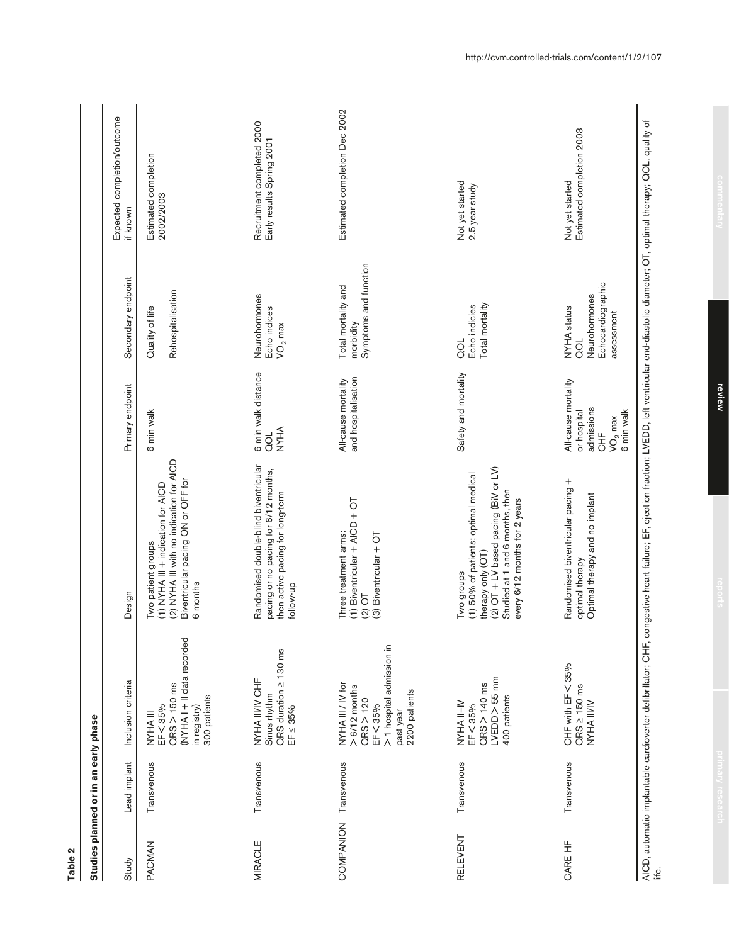|           | Studies planned or in an early phase |                                                                                                                        |                                                                                                                                                                                                    |                                                                                   |                                                                        |                                                         |
|-----------|--------------------------------------|------------------------------------------------------------------------------------------------------------------------|----------------------------------------------------------------------------------------------------------------------------------------------------------------------------------------------------|-----------------------------------------------------------------------------------|------------------------------------------------------------------------|---------------------------------------------------------|
| Study     | Lead implant                         | Inclusion criteria                                                                                                     | Design                                                                                                                                                                                             | Primary endpoint                                                                  | Secondary endpoint                                                     | Expected completion/outcome<br>if known                 |
| PACMAN    | Transvenous                          | (NYHAI+II data recorded<br>$CRS > 150$ ms<br>300 patients<br>in registry)<br>EF < 35%<br>NYHA III                      | (2) NYHA III with no indication for AICD<br>Biventricular pacing ON or OFF for<br>(1) NYHA III + indication for AICD<br>Two patient groups<br>6 months                                             | 6 min walk                                                                        | Rehospitalisation<br>Quality of life                                   | Estimated completion<br>2002/2003                       |
| MIRACLE   | Transvenous                          | QRS duration ≥ 130 ms<br>NYHA III/IV CHF<br>Sinus rhythm<br>$EF \leq 35\%$                                             | Randomised double-blind biventricular<br>pacing or no pacing for 6/12 months,<br>then active pacing for long-term<br>follow-up                                                                     | 6 min walk distance<br><b>NYHA</b><br>aoL                                         | Neurohormones<br>Echo indices<br>$VO2$ max                             | Recruitment completed 2000<br>Early results Spring 2001 |
| COMPANION | Transvenous                          | > 1 hospital admission in<br>NYHA III / IV for<br>$> 6/12$ months<br>2200 patients<br>QRS > 120<br>EF<35%<br>past year | $(1)$ Biventricular + AICD + OT<br>Three treatment arms:<br>$(3)$ Biventricular + OT<br>$(2)$ OT                                                                                                   | and hospitalisation<br>All-cause mortality                                        | Symptoms and function<br>Total mortality and<br>morbidity              | Estimated completion Dec 2002                           |
| RELEVENT  | Transvenous                          | $LVEDD > 55$ mm<br>$EF < 35%$<br>QRS > 140 ms<br>400 patients<br>NYHA II-IV                                            | (2) OT + LV based pacing (BIV or LV)<br>(1) 50% of patients; optimal medical<br>Studied at 1 and 6 months, then<br>every 6/12 months for 2 years<br>therapy only (OT)<br>Two groups                | Safety and mortality                                                              | Total mortality<br>Echo indicies<br>QOL                                | Not yet started<br>2.5 year study                       |
| CARE HF   | Transvenous                          | CHF with EF<35%<br>$QRS \geq 150 \text{ ms}$<br>NYHA III/IV                                                            | Randomised biventricular pacing +<br>Optimal therapy and no implant<br>optimal therapy                                                                                                             | All-cause mortality<br>admissions<br>6 min walk<br>or hospital<br>$VO2$ max<br>HF | Echocardiographic<br>Neurohormones<br>NYHA status<br>assessment<br>qor | Estimated completion 2003<br>Not yet started            |
| ife.      |                                      |                                                                                                                        | AICD, automatic implantable cardioverter defibrillator; CHF, congestive heart failure; EF, ejection fraction; LVEDD, left ventricular end-diastolic diameter; OT, optimal therapy; QOL, quality of |                                                                                   |                                                                        |                                                         |

**Table 2**

http://cvm.controlled-trials.com/content/1/2/107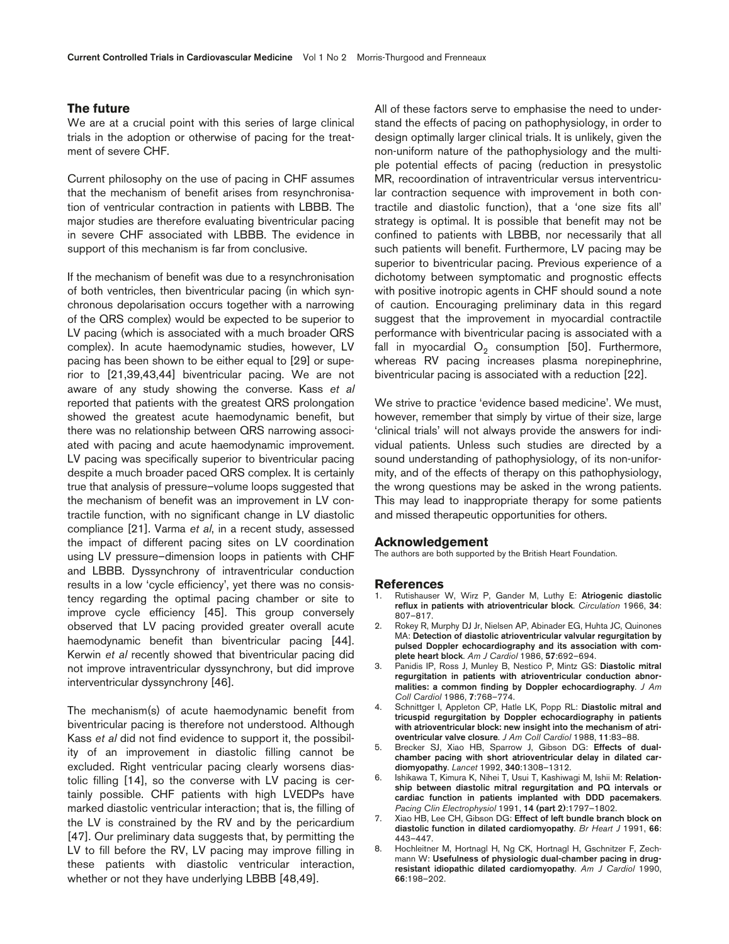## **The future**

We are at a crucial point with this series of large clinical trials in the adoption or otherwise of pacing for the treatment of severe CHF.

Current philosophy on the use of pacing in CHF assumes that the mechanism of benefit arises from resynchronisation of ventricular contraction in patients with LBBB. The major studies are therefore evaluating biventricular pacing in severe CHF associated with LBBB. The evidence in support of this mechanism is far from conclusive.

If the mechanism of benefit was due to a resynchronisation of both ventricles, then biventricular pacing (in which synchronous depolarisation occurs together with a narrowing of the QRS complex) would be expected to be superior to LV pacing (which is associated with a much broader QRS complex). In acute haemodynamic studies, however, LV pacing has been shown to be either equal to [29] or superior to [21,39,43,44] biventricular pacing. We are not aware of any study showing the converse. Kass *et al* reported that patients with the greatest QRS prolongation showed the greatest acute haemodynamic benefit, but there was no relationship between QRS narrowing associated with pacing and acute haemodynamic improvement. LV pacing was specifically superior to biventricular pacing despite a much broader paced QRS complex. It is certainly true that analysis of pressure–volume loops suggested that the mechanism of benefit was an improvement in LV contractile function, with no significant change in LV diastolic compliance [21]. Varma *et al*, in a recent study, assessed the impact of different pacing sites on LV coordination using LV pressure–dimension loops in patients with CHF and LBBB. Dyssynchrony of intraventricular conduction results in a low 'cycle efficiency', yet there was no consistency regarding the optimal pacing chamber or site to improve cycle efficiency [45]. This group conversely observed that LV pacing provided greater overall acute haemodynamic benefit than biventricular pacing [44]. Kerwin *et al* recently showed that biventricular pacing did not improve intraventricular dyssynchrony, but did improve interventricular dyssynchrony [46].

The mechanism(s) of acute haemodynamic benefit from biventricular pacing is therefore not understood. Although Kass *et al* did not find evidence to support it, the possibility of an improvement in diastolic filling cannot be excluded. Right ventricular pacing clearly worsens diastolic filling [14], so the converse with LV pacing is certainly possible. CHF patients with high LVEDPs have marked diastolic ventricular interaction; that is, the filling of the LV is constrained by the RV and by the pericardium [47]. Our preliminary data suggests that, by permitting the LV to fill before the RV, LV pacing may improve filling in these patients with diastolic ventricular interaction, whether or not they have underlying LBBB [48,49].

All of these factors serve to emphasise the need to understand the effects of pacing on pathophysiology, in order to design optimally larger clinical trials. It is unlikely, given the non-uniform nature of the pathophysiology and the multiple potential effects of pacing (reduction in presystolic MR, recoordination of intraventricular versus interventricular contraction sequence with improvement in both contractile and diastolic function), that a 'one size fits all' strategy is optimal. It is possible that benefit may not be confined to patients with LBBB, nor necessarily that all such patients will benefit. Furthermore, LV pacing may be superior to biventricular pacing. Previous experience of a dichotomy between symptomatic and prognostic effects with positive inotropic agents in CHF should sound a note of caution. Encouraging preliminary data in this regard suggest that the improvement in myocardial contractile performance with biventricular pacing is associated with a fall in myocardial  $O<sub>2</sub>$  consumption [50]. Furthermore, whereas RV pacing increases plasma norepinephrine, biventricular pacing is associated with a reduction [22].

We strive to practice 'evidence based medicine'. We must, however, remember that simply by virtue of their size, large 'clinical trials' will not always provide the answers for individual patients. Unless such studies are directed by a sound understanding of pathophysiology, of its non-uniformity, and of the effects of therapy on this pathophysiology, the wrong questions may be asked in the wrong patients. This may lead to inappropriate therapy for some patients and missed therapeutic opportunities for others.

## **Acknowledgement**

The authors are both supported by the British Heart Foundation.

#### **References**

- 1. Rutishauser W, Wirz P, Gander M, Luthy E: **Atriogenic diastolic reflux in patients with atrioventricular block**. *Circulation* 1966, **34**: 807–817.
- 2. Rokey R, Murphy DJ Jr, Nielsen AP, Abinader EG, Huhta JC, Quinones MA: **Detection of diastolic atrioventricular valvular regurgitation by pulsed Doppler echocardiography and its association with complete heart block**. *Am J Cardiol* 1986, **57**:692–694.
- 3. Panidis IP, Ross J, Munley B, Nestico P, Mintz GS: **Diastolic mitral regurgitation in patients with atrioventricular conduction abnormalities: a common finding by Doppler echocardiography**. *J Am Coll Cardiol* 1986, **7**:768–774.
- 4. Schnittger I, Appleton CP, Hatle LK, Popp RL: **Diastolic mitral and tricuspid regurgitation by Doppler echocardiography in patients with atrioventricular block: new insight into the mechanism of atrioventricular valve closure**. *J Am Coll Cardiol* 1988, **11**:83–88.
- 5. Brecker SJ, Xiao HB, Sparrow J, Gibson DG: **Effects of dualchamber pacing with short atrioventricular delay in dilated cardiomyopathy**. *Lancet* 1992, **340**:1308–1312.
- 6. Ishikawa T, Kimura K, Nihei T, Usui T, Kashiwagi M, Ishii M: **Relationship between diastolic mitral regurgitation and PQ intervals or cardiac function in patients implanted with DDD pacemakers**. *Pacing Clin Electrophysiol* 1991, **14 (part 2)**:1797–1802.
- 7. Xiao HB, Lee CH, Gibson DG: **Effect of left bundle branch block on diastolic function in dilated cardiomyopathy**. *Br Heart J* 1991, **66**: 443–447.
- 8. Hochleitner M, Hortnagl H, Ng CK, Hortnagl H, Gschnitzer F, Zechmann W: **Usefulness of physiologic dual-chamber pacing in drugresistant idiopathic dilated cardiomyopathy**. *Am J Cardiol* 1990, **66**:198–202.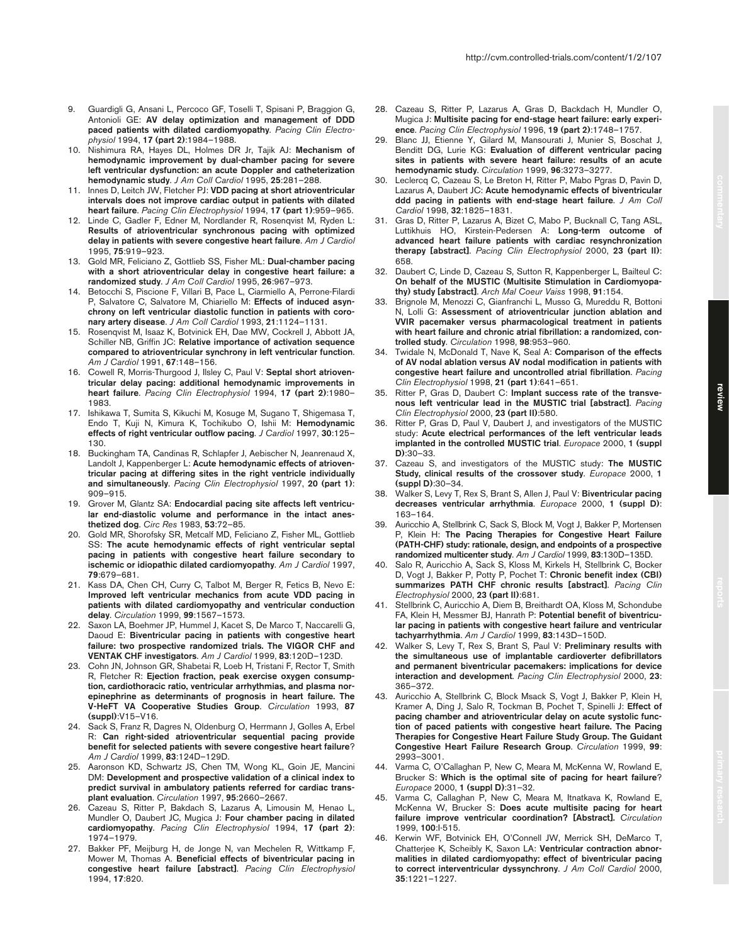- 9. Guardigli G, Ansani L, Percoco GF, Toselli T, Spisani P, Braggion G, Antonioli GE: **AV delay optimization and management of DDD paced patients with dilated cardiomyopathy**. *Pacing Clin Electrophysiol* 1994, **17 (part 2)**:1984–1988.
- 10. Nishimura RA, Hayes DL, Holmes DR Jr, Tajik AJ: **Mechanism of hemodynamic improvement by dual-chamber pacing for severe left ventricular dysfunction: an acute Doppler and catheterization hemodynamic study**. *J Am Coll Cardiol* 1995, **25**:281–288.
- 11. Innes D, Leitch JW, Fletcher PJ: **VDD pacing at short atrioventricular intervals does not improve cardiac output in patients with dilated heart failure**. *Pacing Clin Electrophysiol* 1994, **17 (part 1)**:959–965.
- 12. Linde C, Gadler F, Edner M, Nordlander R, Rosenqvist M, Ryden L: **Results of atrioventricular synchronous pacing with optimized delay in patients with severe congestive heart failure**. *Am J Cardiol* 1995, **75**:919–923.
- 13. Gold MR, Feliciano Z, Gottlieb SS, Fisher ML: **Dual-chamber pacing with a short atrioventricular delay in congestive heart failure: a randomized study**. *J Am Coll Cardiol* 1995, **26**:967–973.
- 14. Betocchi S, Piscione F, Villari B, Pace L, Ciarmiello A, Perrone-Filardi P, Salvatore C, Salvatore M, Chiariello M: **Effects of induced asynchrony on left ventricular diastolic function in patients with coronary artery disease**. *J Am Coll Cardiol* 1993, **21**:1124–1131.
- 15. Rosenqvist M, Isaaz K, Botvinick EH, Dae MW, Cockrell J, Abbott JA, Schiller NB, Griffin JC: **Relative importance of activation sequence compared to atrioventricular synchrony in left ventricular function**. *Am J Cardiol* 1991, **67**:148–156.
- 16. Cowell R, Morris-Thurgood J, Ilsley C, Paul V: **Septal short atrioventricular delay pacing: additional hemodynamic improvements in heart failure**. *Pacing Clin Electrophysiol* 1994, **17 (part 2)**:1980– 1983.
- 17. Ishikawa T, Sumita S, Kikuchi M, Kosuge M, Sugano T, Shigemasa T, Endo T, Kuji N, Kimura K, Tochikubo O, Ishii M: **Hemodynamic effects of right ventricular outflow pacing**. *J Cardiol* 1997, **30**:125– 130.
- 18. Buckingham TA, Candinas R, Schlapfer J, Aebischer N, Jeanrenaud X, Landolt J, Kappenberger L: **Acute hemodynamic effects of atrioventricular pacing at differing sites in the right ventricle individually and simultaneously**. *Pacing Clin Electrophysiol* 1997, **20 (part 1)**: 909–915.
- 19. Grover M, Glantz SA: **Endocardial pacing site affects left ventricular end-diastolic volume and performance in the intact anesthetized dog**. *Circ Res* 1983, **53**:72–85.
- 20. Gold MR, Shorofsky SR, Metcalf MD, Feliciano Z, Fisher ML, Gottlieb SS: **The acute hemodynamic effects of right ventricular septal pacing in patients with congestive heart failure secondary to ischemic or idiopathic dilated cardiomyopathy**. *Am J Cardiol* 1997, **79**:679–681.
- 21. Kass DA, Chen CH, Curry C, Talbot M, Berger R, Fetics B, Nevo E: **Improved left ventricular mechanics from acute VDD pacing in patients with dilated cardiomyopathy and ventricular conduction delay**. *Circulation* 1999, **99**:1567–1573.
- 22. Saxon LA, Boehmer JP, Hummel J, Kacet S, De Marco T, Naccarelli G, Daoud E: **Biventricular pacing in patients with congestive heart failure: two prospective randomized trials. The VIGOR CHF and VENTAK CHF investigators**. *Am J Cardiol* 1999, **83**:120D–123D.
- 23. Cohn JN, Johnson GR, Shabetai R, Loeb H, Tristani F, Rector T, Smith R, Fletcher R: **Ejection fraction, peak exercise oxygen consumption, cardiothoracic ratio, ventricular arrhythmias, and plasma norepinephrine as determinants of prognosis in heart failure. The V-HeFT VA Cooperative Studies Group**. *Circulation* 1993, **87 (suppl)**:V15–V16.
- 24. Sack S, Franz R, Dagres N, Oldenburg O, Herrmann J, Golles A, Erbel R: **Can right-sided atrioventricular sequential pacing provide benefit for selected patients with severe congestive heart failure**? *Am J Cardiol* 1999, **83**:124D–129D.
- 25. Aaronson KD, Schwartz JS, Chen TM, Wong KL, Goin JE, Mancini DM: **Development and prospective validation of a clinical index to predict survival in ambulatory patients referred for cardiac transplant evaluation**. *Circulation* 1997, **95**:2660–2667.
- 26. Cazeau S, Ritter P, Bakdach S, Lazarus A, Limousin M, Henao L, Mundler O, Daubert JC, Mugica J: **Four chamber pacing in dilated cardiomyopathy**. *Pacing Clin Electrophysiol* 1994, **17 (part 2)**: 1974–1979.
- 27. Bakker PF, Meijburg H, de Jonge N, van Mechelen R, Wittkamp F, Mower M, Thomas A. **Beneficial effects of biventricular pacing in congestive heart failure [abstract]**. *Pacing Clin Electrophysiol* 1994, **17**:820.
- 28. Cazeau S, Ritter P, Lazarus A, Gras D, Backdach H, Mundler O, Mugica J: **Multisite pacing for end-stage heart failure: early experience**. *Pacing Clin Electrophysiol* 1996, **19 (part 2)**:1748–1757.
- 29. Blanc JJ, Etienne Y, Gilard M, Mansourati J, Munier S, Boschat J, Benditt DG, Lurie KG: **Evaluation of different ventricular pacing sites in patients with severe heart failure: results of an acute hemodynamic study**. *Circulation* 1999, **96**:3273–3277.
- 30. Leclercq C, Cazeau S, Le Breton H, Ritter P, Mabo Pgras D, Pavin D, Lazarus A, Daubert JC: **Acute hemodynamic effects of biventricular ddd pacing in patients with end-stage heart failure**. *J Am Coll Cardiol* 1998, **32**:1825–1831.
- 31. Gras D, Ritter P, Lazarus A, Bizet C, Mabo P, Bucknall C, Tang ASL, Luttikhuis HO, Kirstein-Pedersen A: **Long-term outcome of advanced heart failure patients with cardiac resynchronization therapy [abstract]**. *Pacing Clin Electrophysiol* 2000, **23 (part II)**: 658.
- 32. Daubert C, Linde D, Cazeau S, Sutton R, Kappenberger L, Bailteul C: **On behalf of the MUSTIC (Multisite Stimulation in Cardiomyopathy) study [abstract]**. *Arch Mal Coeur Vaiss* 1998, **91**:154.
- 33. Brignole M, Menozzi C, Gianfranchi L, Musso G, Mureddu R, Bottoni N, Lolli G: **Assessment of atrioventricular junction ablation and VVIR pacemaker versus pharmacological treatment in patients with heart failure and chronic atrial fibrillation: a randomized, controlled study**. *Circulation* 1998, **98**:953–960.
- 34. Twidale N, McDonald T, Nave K, Seal A: **Comparison of the effects of AV nodal ablation versus AV nodal modification in patients with congestive heart failure and uncontrolled atrial fibrillation**. *Pacing Clin Electrophysiol* 1998, **21 (part 1)**:641–651.
- 35. Ritter P, Gras D, Daubert C: **Implant success rate of the transvenous left ventricular lead in the MUSTIC trial [abstract]**. *Pacing Clin Electrophysiol* 2000, **23 (part II)**:580.
- 36. Ritter P, Gras D, Paul V, Daubert J, and investigators of the MUSTIC study: **Acute electrical performances of the left ventricular leads implanted in the controlled MUSTIC trial**. *Europace* 2000, **1 (suppl D)**:30–33.
- 37. Cazeau S, and investigators of the MUSTIC study: **The MUSTIC Study, clinical results of the crossover study**. *Europace* 2000, **1 (suppl D)**:30–34.
- 38. Walker S, Levy T, Rex S, Brant S, Allen J, Paul V: **Biventricular pacing decreases ventricular arrhythmia**. *Europace* 2000, **1 (suppl D)**: 163–164.
- 39. Auricchio A, Stellbrink C, Sack S, Block M, Vogt J, Bakker P, Mortensen P, Klein H: **The Pacing Therapies for Congestive Heart Failure (PATH-CHF) study: rationale, design, and endpoints of a prospective randomized multicenter study**. *Am J Cardiol* 1999, **83**:130D–135D.
- 40. Salo R, Auricchio A, Sack S, Kloss M, Kirkels H, Stellbrink C, Bocker D, Vogt J, Bakker P, Potty P, Pochet T: **Chronic benefit index (CBI) summarizes PATH CHF chronic results [abstract]**. *Pacing Clin Electrophysiol* 2000, **23 (part II)**:681.
- 41. Stellbrink C, Auricchio A, Diem B, Breithardt OA, Kloss M, Schondube FA, Klein H, Messmer BJ, Hanrath P: **Potential benefit of biventricular pacing in patients with congestive heart failure and ventricular tachyarrhythmia**. *Am J Cardiol* 1999, **83**:143D–150D.
- 42. Walker S, Levy T, Rex S, Brant S, Paul V: **Preliminary results with the simultaneous use of implantable cardioverter defibrillators and permanent biventricular pacemakers: implications for device interaction and development**. *Pacing Clin Electrophysiol* 2000, **23**: 365–372.
- 43. Auricchio A, Stellbrink C, Block Msack S, Vogt J, Bakker P, Klein H, Kramer A, Ding J, Salo R, Tockman B, Pochet T, Spinelli J: **Effect of pacing chamber and atrioventricular delay on acute systolic function of paced patients with congestive heart failure. The Pacing Therapies for Congestive Heart Failure Study Group. The Guidant Congestive Heart Failure Research Group**. *Circulation* 1999, **99**: 2993–3001.
- 44. Varma C, O'Callaghan P, New C, Meara M, McKenna W, Rowland E, Brucker S: **Which is the optimal site of pacing for heart failure**? *Europace* 2000, **1 (suppl D)**:31–32.
- 45. Varma C, Callaghan P, New C, Meara M, Itnatkava K, Rowland E, McKenna W, Brucker S: **Does acute multisite pacing for heart failure improve ventricular coordination? [Abstract].** *Circulation* 1999, **100**:I-515.
- 46. Kerwin WF, Botvinick EH, O'Connell JW, Merrick SH, DeMarco T, Chatterjee K, Scheibly K, Saxon LA: **Ventricular contraction abnormalities in dilated cardiomyopathy: effect of biventricular pacing to correct interventricular dyssynchrony**. *J Am Coll Cardiol* 2000, **35**:1221–1227.